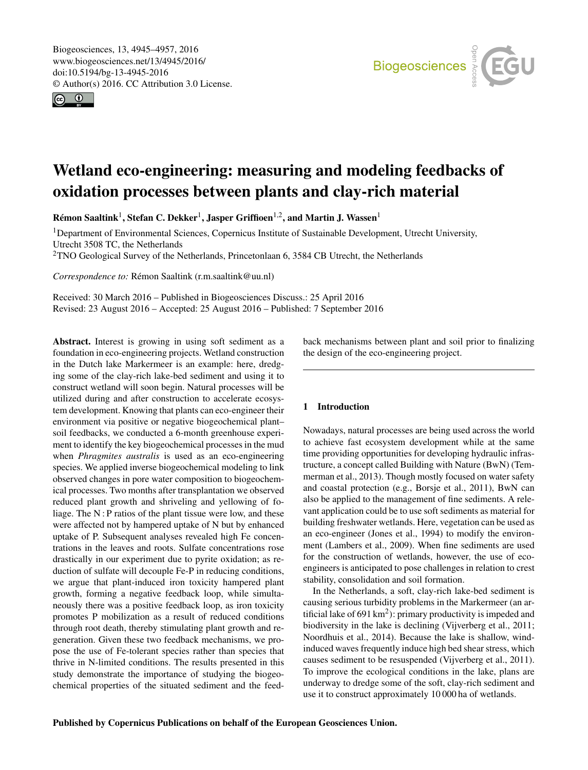<span id="page-0-1"></span>Biogeosciences, 13, 4945–4957, 2016 www.biogeosciences.net/13/4945/2016/ doi:10.5194/bg-13-4945-2016 © Author(s) 2016. CC Attribution 3.0 License.





# Wetland eco-engineering: measuring and modeling feedbacks of oxidation processes between plants and clay-rich material

Rémon Saaltink<sup>[1](#page-0-0)</sup>, Stefan C. Dekker<sup>1</sup>, Jasper Griffioen<sup>[1,2](#page-0-0)</sup>, and Martin J. Wassen<sup>1</sup>

<sup>1</sup>Department of Environmental Sciences, Copernicus Institute of Sustainable Development, Utrecht University, Utrecht 3508 TC, the Netherlands

<sup>2</sup>TNO Geological Survey of the Netherlands, Princetonlaan 6, 3584 CB Utrecht, the Netherlands

*Correspondence to:* Rémon Saaltink (r.m.saaltink@uu.nl)

Received: 30 March 2016 – Published in Biogeosciences Discuss.: 25 April 2016 Revised: 23 August 2016 – Accepted: 25 August 2016 – Published: 7 September 2016

<span id="page-0-0"></span>Abstract. Interest is growing in using soft sediment as a foundation in eco-engineering projects. Wetland construction in the Dutch lake Markermeer is an example: here, dredging some of the clay-rich lake-bed sediment and using it to construct wetland will soon begin. Natural processes will be utilized during and after construction to accelerate ecosystem development. Knowing that plants can eco-engineer their environment via positive or negative biogeochemical plant– soil feedbacks, we conducted a 6-month greenhouse experiment to identify the key biogeochemical processes in the mud when *Phragmites australis* is used as an eco-engineering species. We applied inverse biogeochemical modeling to link observed changes in pore water composition to biogeochemical processes. Two months after transplantation we observed reduced plant growth and shriveling and yellowing of foliage. The  $N$ : P ratios of the plant tissue were low, and these were affected not by hampered uptake of N but by enhanced uptake of P. Subsequent analyses revealed high Fe concentrations in the leaves and roots. Sulfate concentrations rose drastically in our experiment due to pyrite oxidation; as reduction of sulfate will decouple Fe-P in reducing conditions, we argue that plant-induced iron toxicity hampered plant growth, forming a negative feedback loop, while simultaneously there was a positive feedback loop, as iron toxicity promotes P mobilization as a result of reduced conditions through root death, thereby stimulating plant growth and regeneration. Given these two feedback mechanisms, we propose the use of Fe-tolerant species rather than species that thrive in N-limited conditions. The results presented in this study demonstrate the importance of studying the biogeochemical properties of the situated sediment and the feedback mechanisms between plant and soil prior to finalizing the design of the eco-engineering project.

## 1 Introduction

Nowadays, natural processes are being used across the world to achieve fast ecosystem development while at the same time providing opportunities for developing hydraulic infrastructure, a concept called Building with Nature (BwN) (Temmerman et al., 2013). Though mostly focused on water safety and coastal protection (e.g., Borsje et al., 2011), BwN can also be applied to the management of fine sediments. A relevant application could be to use soft sediments as material for building freshwater wetlands. Here, vegetation can be used as an eco-engineer (Jones et al., 1994) to modify the environment (Lambers et al., 2009). When fine sediments are used for the construction of wetlands, however, the use of ecoengineers is anticipated to pose challenges in relation to crest stability, consolidation and soil formation.

In the Netherlands, a soft, clay-rich lake-bed sediment is causing serious turbidity problems in the Markermeer (an artificial lake of 691 km<sup>2</sup>): primary productivity is impeded and biodiversity in the lake is declining (Vijverberg et al., 2011; Noordhuis et al., 2014). Because the lake is shallow, windinduced waves frequently induce high bed shear stress, which causes sediment to be resuspended (Vijverberg et al., 2011). To improve the ecological conditions in the lake, plans are underway to dredge some of the soft, clay-rich sediment and use it to construct approximately 10 000 ha of wetlands.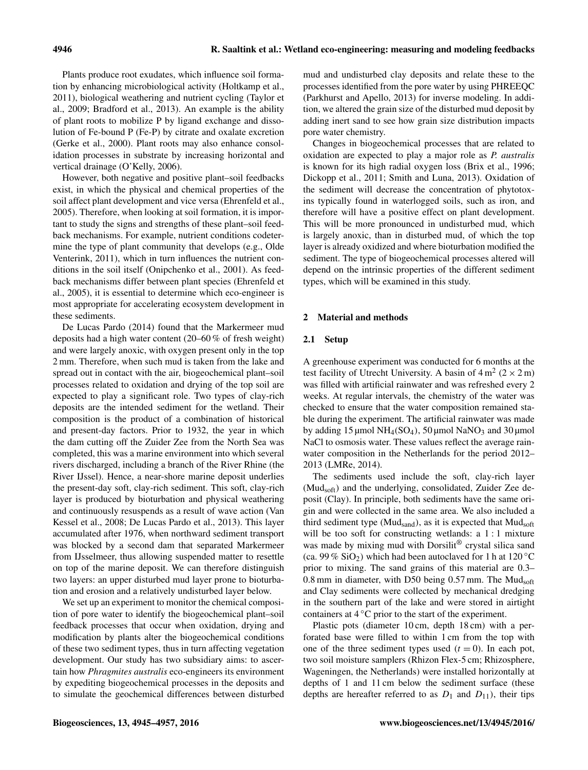Plants produce root exudates, which influence soil formation by enhancing microbiological activity (Holtkamp et al., 2011), biological weathering and nutrient cycling (Taylor et al., 2009; Bradford et al., 2013). An example is the ability of plant roots to mobilize P by ligand exchange and dissolution of Fe-bound P (Fe-P) by citrate and oxalate excretion (Gerke et al., 2000). Plant roots may also enhance consolidation processes in substrate by increasing horizontal and vertical drainage (O'Kelly, 2006).

However, both negative and positive plant–soil feedbacks exist, in which the physical and chemical properties of the soil affect plant development and vice versa (Ehrenfeld et al., 2005). Therefore, when looking at soil formation, it is important to study the signs and strengths of these plant–soil feedback mechanisms. For example, nutrient conditions codetermine the type of plant community that develops (e.g., Olde Venterink, 2011), which in turn influences the nutrient conditions in the soil itself (Onipchenko et al., 2001). As feedback mechanisms differ between plant species (Ehrenfeld et al., 2005), it is essential to determine which eco-engineer is most appropriate for accelerating ecosystem development in these sediments.

De Lucas Pardo (2014) found that the Markermeer mud deposits had a high water content (20–60 % of fresh weight) and were largely anoxic, with oxygen present only in the top 2 mm. Therefore, when such mud is taken from the lake and spread out in contact with the air, biogeochemical plant–soil processes related to oxidation and drying of the top soil are expected to play a significant role. Two types of clay-rich deposits are the intended sediment for the wetland. Their composition is the product of a combination of historical and present-day factors. Prior to 1932, the year in which the dam cutting off the Zuider Zee from the North Sea was completed, this was a marine environment into which several rivers discharged, including a branch of the River Rhine (the River IJssel). Hence, a near-shore marine deposit underlies the present-day soft, clay-rich sediment. This soft, clay-rich layer is produced by bioturbation and physical weathering and continuously resuspends as a result of wave action (Van Kessel et al., 2008; De Lucas Pardo et al., 2013). This layer accumulated after 1976, when northward sediment transport was blocked by a second dam that separated Markermeer from IJsselmeer, thus allowing suspended matter to resettle on top of the marine deposit. We can therefore distinguish two layers: an upper disturbed mud layer prone to bioturbation and erosion and a relatively undisturbed layer below.

We set up an experiment to monitor the chemical composition of pore water to identify the biogeochemical plant–soil feedback processes that occur when oxidation, drying and modification by plants alter the biogeochemical conditions of these two sediment types, thus in turn affecting vegetation development. Our study has two subsidiary aims: to ascertain how *Phragmites australis* eco-engineers its environment by expediting biogeochemical processes in the deposits and to simulate the geochemical differences between disturbed mud and undisturbed clay deposits and relate these to the processes identified from the pore water by using PHREEQC (Parkhurst and Apello, 2013) for inverse modeling. In addition, we altered the grain size of the disturbed mud deposit by adding inert sand to see how grain size distribution impacts pore water chemistry.

Changes in biogeochemical processes that are related to oxidation are expected to play a major role as *P. australis* is known for its high radial oxygen loss (Brix et al., 1996; Dickopp et al., 2011; Smith and Luna, 2013). Oxidation of the sediment will decrease the concentration of phytotoxins typically found in waterlogged soils, such as iron, and therefore will have a positive effect on plant development. This will be more pronounced in undisturbed mud, which is largely anoxic, than in disturbed mud, of which the top layer is already oxidized and where bioturbation modified the sediment. The type of biogeochemical processes altered will depend on the intrinsic properties of the different sediment types, which will be examined in this study.

#### 2 Material and methods

#### 2.1 Setup

A greenhouse experiment was conducted for 6 months at the test facility of Utrecht University. A basin of  $4 \text{ m}^2 (2 \times 2 \text{ m})$ was filled with artificial rainwater and was refreshed every 2 weeks. At regular intervals, the chemistry of the water was checked to ensure that the water composition remained stable during the experiment. The artificial rainwater was made by adding 15  $\mu$ mol NH<sub>4</sub>(SO<sub>4</sub>), 50  $\mu$ mol NaNO<sub>3</sub> and 30  $\mu$ mol NaCl to osmosis water. These values reflect the average rainwater composition in the Netherlands for the period 2012– 2013 (LMRe, 2014).

The sediments used include the soft, clay-rich layer (Mudsoft) and the underlying, consolidated, Zuider Zee deposit (Clay). In principle, both sediments have the same origin and were collected in the same area. We also included a third sediment type ( $Mud<sub>sand</sub>$ ), as it is expected that  $Mud<sub>soft</sub>$ will be too soft for constructing wetlands: a 1 : 1 mixture was made by mixing mud with Dorsilit<sup>®</sup> crystal silica sand (ca. 99 %  $SiO<sub>2</sub>$ ) which had been autoclaved for 1 h at 120 °C prior to mixing. The sand grains of this material are 0.3– 0.8 mm in diameter, with D50 being 0.57 mm. The  $Mud<sub>soft</sub>$ and Clay sediments were collected by mechanical dredging in the southern part of the lake and were stored in airtight containers at 4 ◦C prior to the start of the experiment.

Plastic pots (diameter 10 cm, depth 18 cm) with a perforated base were filled to within 1 cm from the top with one of the three sediment types used  $(t = 0)$ . In each pot, two soil moisture samplers (Rhizon Flex-5 cm; Rhizosphere, Wageningen, the Netherlands) were installed horizontally at depths of 1 and 11 cm below the sediment surface (these depths are hereafter referred to as  $D_1$  and  $D_{11}$ ), their tips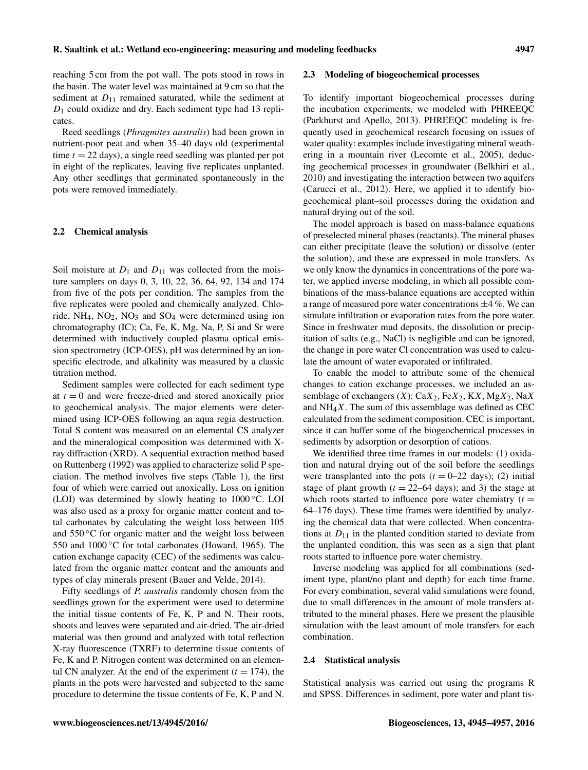reaching 5 cm from the pot wall. The pots stood in rows in the basin. The water level was maintained at 9 cm so that the sediment at  $D_{11}$  remained saturated, while the sediment at  $D_1$  could oxidize and dry. Each sediment type had 13 replicates.

Reed seedlings (*Phragmites australis*) had been grown in nutrient-poor peat and when 35–40 days old (experimental time  $t = 22$  days), a single reed seedling was planted per pot in eight of the replicates, leaving five replicates unplanted. Any other seedlings that germinated spontaneously in the pots were removed immediately.

#### 2.2 Chemical analysis

Soil moisture at  $D_1$  and  $D_{11}$  was collected from the moisture samplers on days 0, 3, 10, 22, 36, 64, 92, 134 and 174 from five of the pots per condition. The samples from the five replicates were pooled and chemically analyzed. Chloride,  $NH_4$ ,  $NO_2$ ,  $NO_3$  and  $SO_4$  were determined using ion chromatography (IC); Ca, Fe, K, Mg, Na, P, Si and Sr were determined with inductively coupled plasma optical emission spectrometry (ICP-OES), pH was determined by an ionspecific electrode, and alkalinity was measured by a classic titration method.

Sediment samples were collected for each sediment type at  $t = 0$  and were freeze-dried and stored anoxically prior to geochemical analysis. The major elements were determined using ICP-OES following an aqua regia destruction. Total S content was measured on an elemental CS analyzer and the mineralogical composition was determined with Xray diffraction (XRD). A sequential extraction method based on Ruttenberg (1992) was applied to characterize solid P speciation. The method involves five steps (Table 1), the first four of which were carried out anoxically. Loss on ignition (LOI) was determined by slowly heating to 1000 ◦C. LOI was also used as a proxy for organic matter content and total carbonates by calculating the weight loss between 105 and  $550\,^{\circ}\text{C}$  for organic matter and the weight loss between 550 and 1000 ℃ for total carbonates (Howard, 1965). The cation exchange capacity (CEC) of the sediments was calculated from the organic matter content and the amounts and types of clay minerals present (Bauer and Velde, 2014).

Fifty seedlings of *P. australis* randomly chosen from the seedlings grown for the experiment were used to determine the initial tissue contents of Fe, K, P and N. Their roots, shoots and leaves were separated and air-dried. The air-dried material was then ground and analyzed with total reflection X-ray fluorescence (TXRF) to determine tissue contents of Fe, K and P. Nitrogen content was determined on an elemental CN analyzer. At the end of the experiment  $(t = 174)$ , the plants in the pots were harvested and subjected to the same procedure to determine the tissue contents of Fe, K, P and N.

#### 2.3 Modeling of biogeochemical processes

To identify important biogeochemical processes during the incubation experiments, we modeled with PHREEQC (Parkhurst and Apello, 2013). PHREEQC modeling is frequently used in geochemical research focusing on issues of water quality: examples include investigating mineral weathering in a mountain river (Lecomte et al., 2005), deducing geochemical processes in groundwater (Belkhiri et al., 2010) and investigating the interaction between two aquifers (Carucci et al., 2012). Here, we applied it to identify biogeochemical plant–soil processes during the oxidation and natural drying out of the soil.

The model approach is based on mass-balance equations of preselected mineral phases (reactants). The mineral phases can either precipitate (leave the solution) or dissolve (enter the solution), and these are expressed in mole transfers. As we only know the dynamics in concentrations of the pore water, we applied inverse modeling, in which all possible combinations of the mass-balance equations are accepted within a range of measured pore water concentrations  $\pm 4$  %. We can simulate infiltration or evaporation rates from the pore water. Since in freshwater mud deposits, the dissolution or precipitation of salts (e.g., NaCl) is negligible and can be ignored, the change in pore water Cl concentration was used to calculate the amount of water evaporated or infiltrated.

To enable the model to attribute some of the chemical changes to cation exchange processes, we included an assemblage of exchangers  $(X)$ : Ca $X_2$ , Fe $X_2$ , KX, Mg $X_2$ , NaX and  $NH<sub>4</sub>X$ . The sum of this assemblage was defined as CEC calculated from the sediment composition. CEC is important, since it can buffer some of the biogeochemical processes in sediments by adsorption or desorption of cations.

We identified three time frames in our models: (1) oxidation and natural drying out of the soil before the seedlings were transplanted into the pots  $(t = 0-22 \text{ days})$ ; (2) initial stage of plant growth  $(t = 22-64 \text{ days})$ ; and 3) the stage at which roots started to influence pore water chemistry  $(t =$ 64–176 days). These time frames were identified by analyzing the chemical data that were collected. When concentrations at  $D_{11}$  in the planted condition started to deviate from the unplanted condition, this was seen as a sign that plant roots started to influence pore water chemistry.

Inverse modeling was applied for all combinations (sediment type, plant/no plant and depth) for each time frame. For every combination, several valid simulations were found, due to small differences in the amount of mole transfers attributed to the mineral phases. Here we present the plausible simulation with the least amount of mole transfers for each combination.

#### 2.4 Statistical analysis

Statistical analysis was carried out using the programs R and SPSS. Differences in sediment, pore water and plant tis-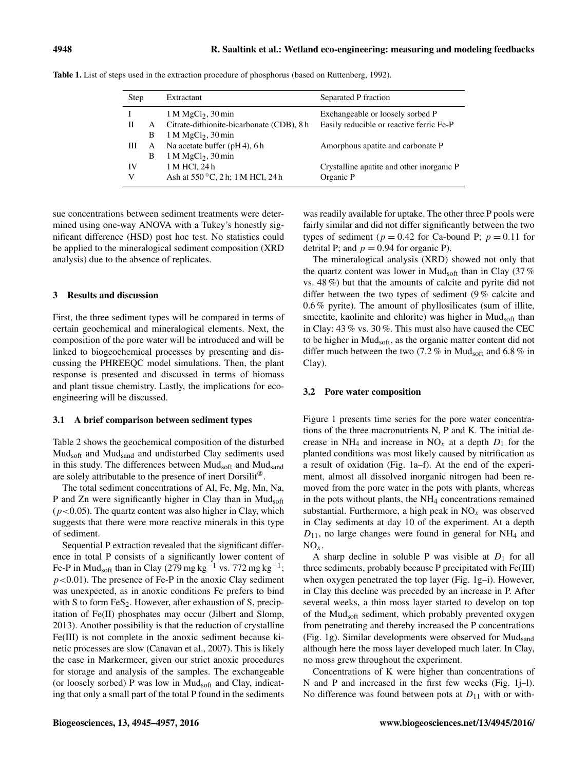| Step |   | Extractant                                | Separated P fraction                      |  |  |  |  |  |
|------|---|-------------------------------------------|-------------------------------------------|--|--|--|--|--|
|      |   | $1 M MgCl2$ , $30 min$                    | Exchangeable or loosely sorbed P          |  |  |  |  |  |
|      | A | Citrate-dithionite-bicarbonate (CDB), 8 h | Easily reducible or reactive ferric Fe-P  |  |  |  |  |  |
|      | В | $1 M MgCl2$ , $30 min$                    |                                           |  |  |  |  |  |
| Ш    | A | Na acetate buffer (pH4), 6h               | Amorphous apatite and carbonate P         |  |  |  |  |  |
|      | В | $1 M MgCl2$ , $30 min$                    |                                           |  |  |  |  |  |
| IV   |   | 1 M HCl, 24 h                             | Crystalline apatite and other inorganic P |  |  |  |  |  |
| V    |   | Ash at 550 °C, 2 h; 1 M HCl, 24 h         | Organic P                                 |  |  |  |  |  |

Table 1. List of steps used in the extraction procedure of phosphorus (based on Ruttenberg, 1992).

sue concentrations between sediment treatments were determined using one-way ANOVA with a Tukey's honestly significant difference (HSD) post hoc test. No statistics could be applied to the mineralogical sediment composition (XRD analysis) due to the absence of replicates.

## 3 Results and discussion

First, the three sediment types will be compared in terms of certain geochemical and mineralogical elements. Next, the composition of the pore water will be introduced and will be linked to biogeochemical processes by presenting and discussing the PHREEQC model simulations. Then, the plant response is presented and discussed in terms of biomass and plant tissue chemistry. Lastly, the implications for ecoengineering will be discussed.

#### 3.1 A brief comparison between sediment types

Table 2 shows the geochemical composition of the disturbed Mudsoft and Mudsand and undisturbed Clay sediments used in this study. The differences between Mudsoft and Mudsand are solely attributable to the presence of inert Dorsilit®.

The total sediment concentrations of Al, Fe, Mg, Mn, Na, P and Zn were significantly higher in Clay than in Mudsoft  $(p<0.05)$ . The quartz content was also higher in Clay, which suggests that there were more reactive minerals in this type of sediment.

Sequential P extraction revealed that the significant difference in total P consists of a significantly lower content of Fe-P in Mud<sub>soft</sub> than in Clay (279 mg kg<sup>-1</sup> vs. 772 mg kg<sup>-1</sup>;  $p$ <0.01). The presence of Fe-P in the anoxic Clay sediment was unexpected, as in anoxic conditions Fe prefers to bind with S to form  $FeS<sub>2</sub>$ . However, after exhaustion of S, precipitation of Fe(II) phosphates may occur (Jilbert and Slomp, 2013). Another possibility is that the reduction of crystalline Fe(III) is not complete in the anoxic sediment because kinetic processes are slow (Canavan et al., 2007). This is likely the case in Markermeer, given our strict anoxic procedures for storage and analysis of the samples. The exchangeable (or loosely sorbed) P was low in  $Mud<sub>soft</sub>$  and Clay, indicating that only a small part of the total P found in the sediments

was readily available for uptake. The other three P pools were fairly similar and did not differ significantly between the two types of sediment ( $p = 0.42$  for Ca-bound P;  $p = 0.11$  for detrital P; and  $p = 0.94$  for organic P).

The mineralogical analysis (XRD) showed not only that the quartz content was lower in Mud<sub>soft</sub> than in Clay  $(37\%$ vs. 48 %) but that the amounts of calcite and pyrite did not differ between the two types of sediment (9 % calcite and 0.6 % pyrite). The amount of phyllosilicates (sum of illite, smectite, kaolinite and chlorite) was higher in Mudsoft than in Clay: 43 % vs. 30 %. This must also have caused the CEC to be higher in Mudsoft, as the organic matter content did not differ much between the two (7.2 % in Mudsoft and 6.8 % in Clay).

#### 3.2 Pore water composition

Figure 1 presents time series for the pore water concentrations of the three macronutrients N, P and K. The initial decrease in NH<sub>4</sub> and increase in NO<sub>x</sub> at a depth  $D_1$  for the planted conditions was most likely caused by nitrification as a result of oxidation (Fig. 1a–f). At the end of the experiment, almost all dissolved inorganic nitrogen had been removed from the pore water in the pots with plants, whereas in the pots without plants, the NH<sup>4</sup> concentrations remained substantial. Furthermore, a high peak in  $NO<sub>x</sub>$  was observed in Clay sediments at day 10 of the experiment. At a depth  $D_{11}$ , no large changes were found in general for NH<sub>4</sub> and  $NO<sub>x</sub>$ .

A sharp decline in soluble P was visible at  $D_1$  for all three sediments, probably because P precipitated with Fe(III) when oxygen penetrated the top layer (Fig. 1g–i). However, in Clay this decline was preceded by an increase in P. After several weeks, a thin moss layer started to develop on top of the Mudsoft sediment, which probably prevented oxygen from penetrating and thereby increased the P concentrations (Fig. 1g). Similar developments were observed for Mudsand although here the moss layer developed much later. In Clay, no moss grew throughout the experiment.

Concentrations of K were higher than concentrations of N and P and increased in the first few weeks (Fig. 1j–l). No difference was found between pots at  $D_{11}$  with or with-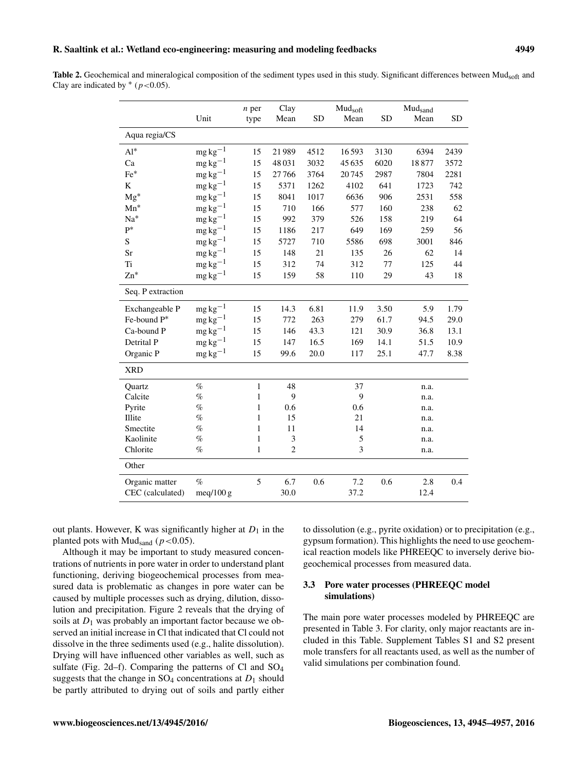## R. Saaltink et al.: Wetland eco-engineering: measuring and modeling feedbacks 4949

Table 2. Geochemical and mineralogical composition of the sediment types used in this study. Significant differences between Mud<sub>soft</sub> and Clay are indicated by  $*(p<0.05)$ .

|                   | Unit          | $n$ per<br>type | Clay<br>Mean   | <b>SD</b> | Mudsoft<br>Mean | <b>SD</b> | Mudsand<br>Mean | <b>SD</b> |
|-------------------|---------------|-----------------|----------------|-----------|-----------------|-----------|-----------------|-----------|
| Aqua regia/CS     |               |                 |                |           |                 |           |                 |           |
| $Al^*$            | $mg\,kg^{-1}$ | 15              | 21989          | 4512      | 16593           | 3130      | 6394            | 2439      |
| Ca                | $mg\,kg^{-1}$ | 15              | 48031          | 3032      | 45635           | 6020      | 18877           | 3572      |
| Fe*               | $mg\,kg^{-1}$ | 15              | 27766          | 3764      | 20745           | 2987      | 7804            | 2281      |
| K                 | $mg\,kg^{-1}$ | 15              | 5371           | 1262      | 4102            | 641       | 1723            | 742       |
| $Mg^*$            | $mg\,kg^{-1}$ | 15              | 8041           | 1017      | 6636            | 906       | 2531            | 558       |
| $Mn^*$            | $mg\,kg^{-1}$ | 15              | 710            | 166       | 577             | 160       | 238             | 62        |
| $Na*$             | $mg\,kg^{-1}$ | 15              | 992            | 379       | 526             | 158       | 219             | 64        |
| $\mathrm{P}^*$    | $mg\,kg^{-1}$ | 15              | 1186           | 217       | 649             | 169       | 259             | 56        |
| S                 | $mg\,kg^{-1}$ | 15              | 5727           | 710       | 5586            | 698       | 3001            | 846       |
| Sr                | $mg\,kg^{-1}$ | 15              | 148            | 21        | 135             | 26        | 62              | 14        |
| Ti                | $mg\,kg^{-1}$ | 15              | 312            | 74        | 312             | 77        | 125             | 44        |
| $Zn^*$            | $mg\,kg^{-1}$ | 15              | 159            | 58        | 110             | 29        | 43              | 18        |
| Seq. P extraction |               |                 |                |           |                 |           |                 |           |
| Exchangeable P    | $mg\,kg^{-1}$ | 15              | 14.3           | 6.81      | 11.9            | 3.50      | 5.9             | 1.79      |
| Fe-bound P*       | $mg\,kg^{-1}$ | 15              | 772            | 263       | 279             | 61.7      | 94.5            | 29.0      |
| Ca-bound P        | $mg\,kg^{-1}$ | 15              | 146            | 43.3      | 121             | 30.9      | 36.8            | 13.1      |
| Detrital P        | $mg\,kg^{-1}$ | 15              | 147            | 16.5      | 169             | 14.1      | 51.5            | 10.9      |
| Organic P         | $mg\,kg^{-1}$ | 15              | 99.6           | 20.0      | 117             | 25.1      | 47.7            | 8.38      |
| <b>XRD</b>        |               |                 |                |           |                 |           |                 |           |
| Quartz            | $\%$          | $\mathbf{1}$    | 48             |           | 37              |           | n.a.            |           |
| Calcite           | $\%$          | 1               | 9              |           | 9               |           | n.a.            |           |
| Pyrite            | $\%$          | 1               | 0.6            |           | 0.6             |           | n.a.            |           |
| Illite            | $\%$          | 1               | 15             |           | 21              |           | n.a.            |           |
| Smectite          | $\%$          | 1               | 11             |           | 14              |           | n.a.            |           |
| Kaolinite         | $\%$          | $\mathbf{1}$    | 3              |           | 5               |           | n.a.            |           |
| Chlorite          | $\%$          | $\mathbf{1}$    | $\overline{2}$ |           | 3               |           | n.a.            |           |
| Other             |               |                 |                |           |                 |           |                 |           |
| Organic matter    | $\%$          | 5               | 6.7            | 0.6       | 7.2             | 0.6       | 2.8             | 0.4       |
| CEC (calculated)  | meq/100 g     |                 | 30.0           |           | 37.2            |           | 12.4            |           |

out plants. However, K was significantly higher at  $D_1$  in the planted pots with Mud<sub>sand</sub> ( $p < 0.05$ ).

Although it may be important to study measured concentrations of nutrients in pore water in order to understand plant functioning, deriving biogeochemical processes from measured data is problematic as changes in pore water can be caused by multiple processes such as drying, dilution, dissolution and precipitation. Figure 2 reveals that the drying of soils at  $D_1$  was probably an important factor because we observed an initial increase in Cl that indicated that Cl could not dissolve in the three sediments used (e.g., halite dissolution). Drying will have influenced other variables as well, such as sulfate (Fig. 2d–f). Comparing the patterns of Cl and SO<sup>4</sup> suggests that the change in  $SO_4$  concentrations at  $D_1$  should be partly attributed to drying out of soils and partly either to dissolution (e.g., pyrite oxidation) or to precipitation (e.g., gypsum formation). This highlights the need to use geochemical reaction models like PHREEQC to inversely derive biogeochemical processes from measured data.

## 3.3 Pore water processes (PHREEQC model simulations)

The main pore water processes modeled by PHREEQC are presented in Table 3. For clarity, only major reactants are included in this Table. Supplement Tables S1 and S2 present mole transfers for all reactants used, as well as the number of valid simulations per combination found.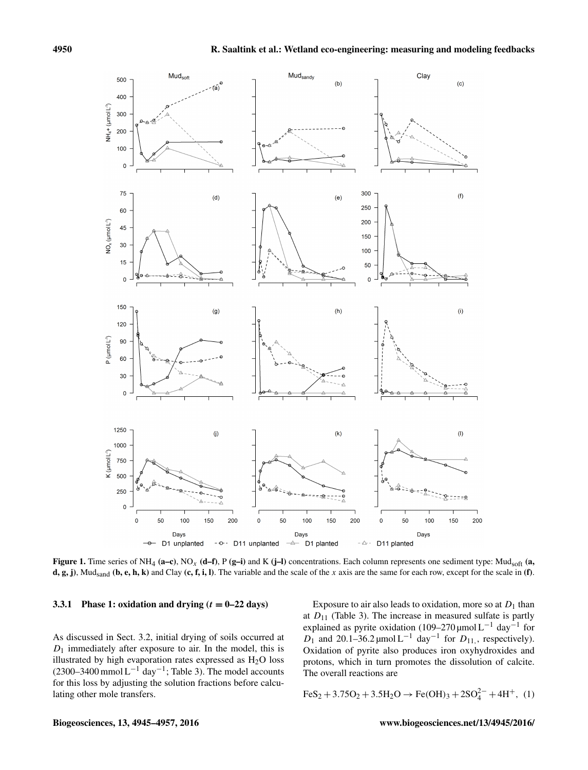

Figure 1. Time series of NH<sub>4</sub> (a–c), NO<sub>x</sub> (d–f), P (g–i) and K (j–l) concentrations. Each column represents one sediment type: Mud<sub>soft</sub> (a, d, g, j), Mud<sub>sand</sub> (b, e, h, k) and Clay (c, f, i, l). The variable and the scale of the x axis are the same for each row, except for the scale in (f).

### 3.3.1 Phase 1: oxidation and drying  $(t = 0-22 \text{ days})$

As discussed in Sect. 3.2, initial drying of soils occurred at  $D_1$  immediately after exposure to air. In the model, this is illustrated by high evaporation rates expressed as  $H<sub>2</sub>O$  loss (2300–3400 mmol  $L^{-1}$  day<sup>-1</sup>; Table 3). The model accounts for this loss by adjusting the solution fractions before calculating other mole transfers.

Exposure to air also leads to oxidation, more so at  $D_1$  than at  $D_{11}$  (Table 3). The increase in measured sulfate is partly explained as pyrite oxidation (109–270 µmol L<sup>-1</sup> day<sup>-1</sup> for  $D_1$  and 20.1–36.2 μmol L<sup>-1</sup> day<sup>-1</sup> for  $D_{11}$ , respectively). Oxidation of pyrite also produces iron oxyhydroxides and protons, which in turn promotes the dissolution of calcite. The overall reactions are

$$
FeS_2 + 3.75O_2 + 3.5H_2O \rightarrow Fe(OH)_3 + 2SO_4^{2-} + 4H^+, (1)
$$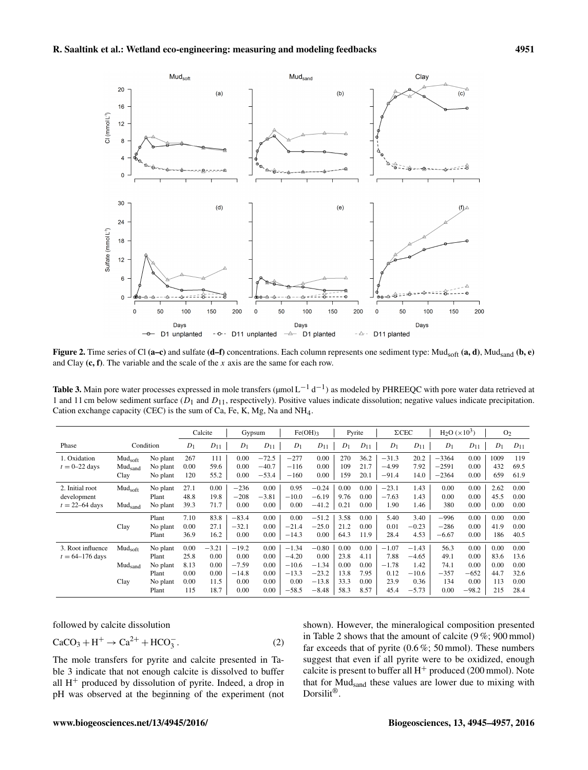

Figure 2. Time series of Cl (a–c) and sulfate (d–f) concentrations. Each column represents one sediment type: Mud<sub>soft</sub> (a, d), Mud<sub>sand</sub> (b, e) and Clay  $(c, f)$ . The variable and the scale of the x axis are the same for each row.

**Table 3.** Main pore water processes expressed in mole transfers ( $\mu$ mol $L^{-1}d^{-1}$ ) as modeled by PHREEQC with pore water data retrieved at 1 and 11 cm below sediment surface  $(D_1$  and  $D_{11}$ , respectively). Positive values indicate dissolution; negative values indicate precipitation. Cation exchange capacity (CEC) is the sum of Ca, Fe, K, Mg, Na and NH4.

|                                                      |                                                    |                                                             |                                             | Calcite                                         | Gypsum                                                |                                              | $Fe(OH)$ 3                                                  |                                                             | Pyrite                                       |                                              | $\Sigma$ CEC                                       |                                                          | $H_2O(x10^3)$                                 |                                                   | O <sub>2</sub>                             |                                              |
|------------------------------------------------------|----------------------------------------------------|-------------------------------------------------------------|---------------------------------------------|-------------------------------------------------|-------------------------------------------------------|----------------------------------------------|-------------------------------------------------------------|-------------------------------------------------------------|----------------------------------------------|----------------------------------------------|----------------------------------------------------|----------------------------------------------------------|-----------------------------------------------|---------------------------------------------------|--------------------------------------------|----------------------------------------------|
| Phase<br>Condition                                   |                                                    | $D_1$                                                       | $D_{11}$                                    | $D_1$                                           | $D_{11}$                                              | $D_1$                                        | $D_{11}$                                                    | $D_1$                                                       | $D_{11}$                                     | $D_1$                                        | $D_{11}$                                           | $D_1$                                                    | $D_{11}$                                      | $D_1$                                             | $D_{11}$                                   |                                              |
| 1. Oxidation<br>$t = 0-22$ days                      | Mud <sub>soft</sub><br>Mud <sub>sand</sub><br>Clay | No plant<br>No plant<br>No plant                            | 267<br>0.00<br>120                          | 111<br>59.6<br>55.2                             | 0.00<br>0.00<br>0.00                                  | $-72.5$<br>$-40.7$<br>$-53.4$                | $-277$<br>$-116$<br>$-160$                                  | 0.00<br>0.00<br>0.00                                        | 270<br>109<br>159                            | 36.2<br>21.7<br>20.1                         | $-31.3$<br>$-4.99$<br>$-91.4$                      | 20.2<br>7.92<br>14.0                                     | $-3364$<br>$-2591$<br>$-2364$                 | 0.00<br>0.00<br>0.00                              | 1009<br>432<br>659                         | 119<br>69.5<br>61.9                          |
| 2. Initial root<br>development<br>$t = 22 - 64$ days | Mud <sub>soft</sub><br>Mud <sub>sand</sub>         | No plant<br>Plant<br>No plant                               | 27.1<br>48.8<br>39.3                        | $0.00\,$<br>19.8<br>71.7                        | $-236$<br>$-208$<br>0.00                              | 0.00<br>$-3.81$<br>0.00                      | 0.95<br>$-10.0$<br>0.00                                     | $-0.24$<br>$-6.19$<br>$-41.2$                               | 0.00<br>9.76<br>0.21                         | 0.00<br>0.00<br>$0.00\,$                     | $-23.1$<br>$-7.63$<br>1.90                         | 1.43<br>1.43<br>1.46                                     | 0.00<br>0.00<br>380                           | 0.00<br>0.00<br>0.00                              | 2.62<br>45.5<br>0.00                       | 0.00<br>0.00<br>0.00                         |
|                                                      | Clay                                               | Plant<br>No plant<br>Plant                                  | 7.10<br>0.00<br>36.9                        | 83.8<br>27.1<br>16.2                            | $-83.4$<br>$-32.1$<br>0.00                            | 0.00<br>0.00<br>0.00                         | 0.00<br>$-21.4$<br>$-14.3$                                  | $-51.2$<br>$-25.0$<br>0.00                                  | 3.58<br>21.2<br>64.3                         | 0.00<br>0.00<br>11.9                         | 5.40<br>0.01<br>28.4                               | 3.40<br>$-0.23$<br>4.53                                  | $-996$<br>$-286$<br>$-6.67$                   | 0.00<br>0.00<br>0.00                              | 0.00<br>41.9<br>186                        | 0.00<br>0.00<br>40.5                         |
| 3. Root influence<br>$t = 64 - 176$ days             | Mud <sub>soft</sub><br>Mud <sub>sand</sub><br>Clay | No plant<br>Plant<br>No plant<br>Plant<br>No plant<br>Plant | 0.00<br>25.8<br>8.13<br>0.00<br>0.00<br>115 | $-3.21$<br>0.00<br>0.00<br>0.00<br>11.5<br>18.7 | $-19.2$<br>0.00<br>$-7.59$<br>$-14.8$<br>0.00<br>0.00 | 0.00<br>0.00<br>0.00<br>0.00<br>0.00<br>0.00 | $-1.34$<br>$-4.20$<br>$-10.6$<br>$-13.3$<br>0.00<br>$-58.5$ | $-0.80$<br>0.00<br>$-1.34$<br>$-23.2$<br>$-13.8$<br>$-8.48$ | 0.00<br>23.8<br>0.00<br>13.8<br>33.3<br>58.3 | 0.00<br>4.11<br>0.00<br>7.95<br>0.00<br>8.57 | $-1.07$<br>7.88<br>$-1.78$<br>0.12<br>23.9<br>45.4 | $-1.43$<br>$-4.65$<br>1.42<br>$-10.6$<br>0.36<br>$-5.73$ | 56.3<br>49.1<br>74.1<br>$-357$<br>134<br>0.00 | 0.00<br>0.00<br>0.00<br>$-652$<br>0.00<br>$-98.2$ | 0.00<br>83.6<br>0.00<br>44.7<br>113<br>215 | 0.00<br>13.6<br>0.00<br>32.6<br>0.00<br>28.4 |

followed by calcite dissolution

$$
CaCO3 + H+ \rightarrow Ca2+ + HCO3-.
$$
 (2)

The mole transfers for pyrite and calcite presented in Table 3 indicate that not enough calcite is dissolved to buffer all  $H<sup>+</sup>$  produced by dissolution of pyrite. Indeed, a drop in pH was observed at the beginning of the experiment (not shown). However, the mineralogical composition presented in Table 2 shows that the amount of calcite (9 %; 900 mmol) far exceeds that of pyrite  $(0.6\%; 50 \text{ mmol})$ . These numbers suggest that even if all pyrite were to be oxidized, enough calcite is present to buffer all  $H^+$  produced (200 mmol). Note that for Mudsand these values are lower due to mixing with Dorsilit®.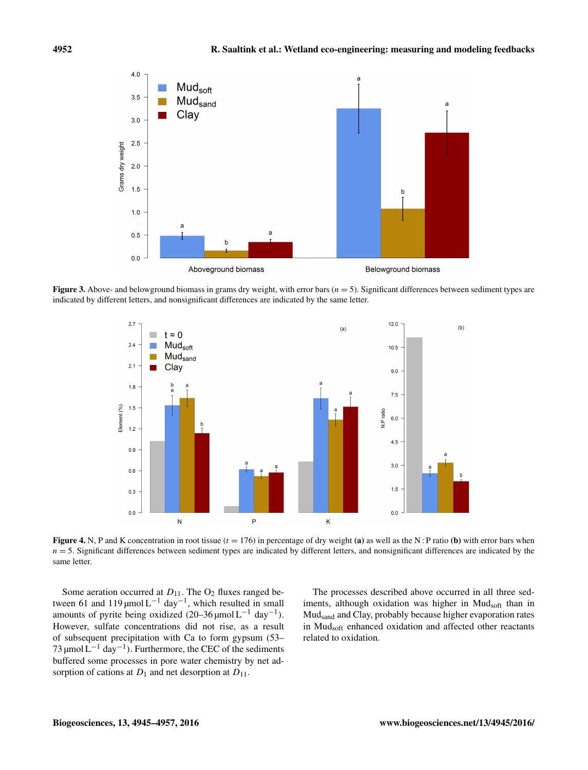

**Figure 3.** Above- and belowground biomass in grams dry weight, with error bars  $(n = 5)$ . Significant differences between sediment types are indicated by different letters, and nonsignificant differences are indicated by the same letter.



Figure 4. N, P and K concentration in root tissue  $(t = 176)$  in percentage of dry weight (a) as well as the N: P ratio (b) with error bars when  $n = 5$ . Significant differences between sediment types are indicated by different letters, and nonsignificant differences are indicated by the same letter.

Some aeration occurred at  $D_{11}$ . The  $O_2$  fluxes ranged between 61 and 119 µmol  $L^{-1}$  day<sup>-1</sup>, which resulted in small amounts of pyrite being oxidized  $(20-36 \mu \text{mol L}^{-1} \text{ day}^{-1})$ . However, sulfate concentrations did not rise, as a result of subsequent precipitation with Ca to form gypsum (53– 73 µmol  $\rm L^{-1}$  day<sup>-1</sup>). Furthermore, the CEC of the sediments buffered some processes in pore water chemistry by net adsorption of cations at  $D_1$  and net desorption at  $D_{11}$ .

The processes described above occurred in all three sediments, although oxidation was higher in Mudsoft than in Mudsand and Clay, probably because higher evaporation rates in Mudsoft enhanced oxidation and affected other reactants related to oxidation.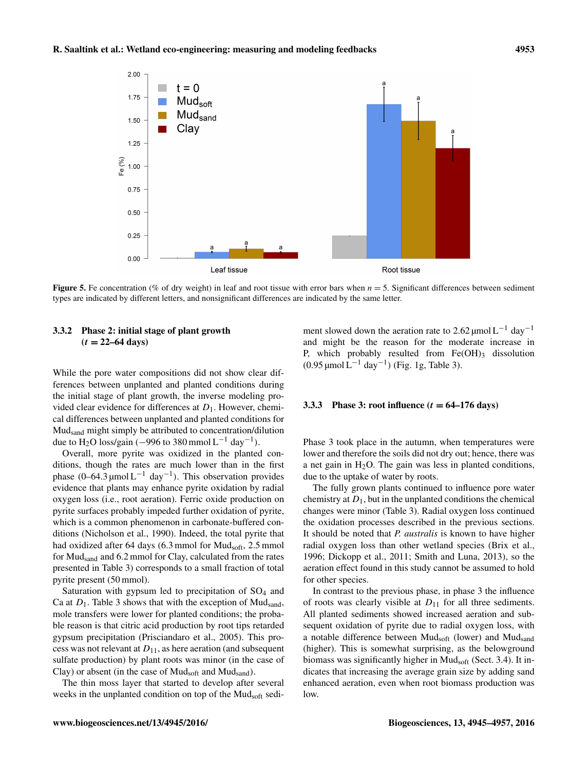

**Figure 5.** Fe concentration (% of dry weight) in leaf and root tissue with error bars when  $n = 5$ . Significant differences between sediment types are indicated by different letters, and nonsignificant differences are indicated by the same letter.

## 3.3.2 Phase 2: initial stage of plant growth  $(t = 22 - 64 \text{ days})$

While the pore water compositions did not show clear differences between unplanted and planted conditions during the initial stage of plant growth, the inverse modeling provided clear evidence for differences at  $D_1$ . However, chemical differences between unplanted and planted conditions for Mudsand might simply be attributed to concentration/dilution due to H<sub>2</sub>O loss/gain (-996 to 380 mmol L<sup>-1</sup> day<sup>-1</sup>).

Overall, more pyrite was oxidized in the planted conditions, though the rates are much lower than in the first phase  $(0-64.3 \mu \text{mol L}^{-1} \text{ day}^{-1})$ . This observation provides evidence that plants may enhance pyrite oxidation by radial oxygen loss (i.e., root aeration). Ferric oxide production on pyrite surfaces probably impeded further oxidation of pyrite, which is a common phenomenon in carbonate-buffered conditions (Nicholson et al., 1990). Indeed, the total pyrite that had oxidized after 64 days (6.3 mmol for Mudsoft, 2.5 mmol for Mudsand and 6.2 mmol for Clay, calculated from the rates presented in Table 3) corresponds to a small fraction of total pyrite present (50 mmol).

Saturation with gypsum led to precipitation of SO<sub>4</sub> and Ca at  $D_1$ . Table 3 shows that with the exception of Mud<sub>sand</sub>, mole transfers were lower for planted conditions; the probable reason is that citric acid production by root tips retarded gypsum precipitation (Prisciandaro et al., 2005). This process was not relevant at  $D_{11}$ , as here aeration (and subsequent sulfate production) by plant roots was minor (in the case of Clay) or absent (in the case of  $Mud<sub>soft</sub>$  and  $Mud<sub>sand</sub>$ ).

The thin moss layer that started to develop after several weeks in the unplanted condition on top of the Mud<sub>soft</sub> sediment slowed down the aeration rate to 2.62 µmol L<sup>-1</sup> day<sup>-1</sup> and might be the reason for the moderate increase in P, which probably resulted from  $Fe(OH)$ <sub>3</sub> dissolution (0.95 µmol  $L^{-1}$  day<sup>-1</sup>) (Fig. 1g, Table 3).

#### 3.3.3 Phase 3: root influence  $(t = 64-176 \text{ days})$

Phase 3 took place in the autumn, when temperatures were lower and therefore the soils did not dry out; hence, there was a net gain in  $H<sub>2</sub>O$ . The gain was less in planted conditions, due to the uptake of water by roots.

The fully grown plants continued to influence pore water chemistry at  $D_1$ , but in the unplanted conditions the chemical changes were minor (Table 3). Radial oxygen loss continued the oxidation processes described in the previous sections. It should be noted that *P. australis* is known to have higher radial oxygen loss than other wetland species (Brix et al., 1996; Dickopp et al., 2011; Smith and Luna, 2013), so the aeration effect found in this study cannot be assumed to hold for other species.

In contrast to the previous phase, in phase 3 the influence of roots was clearly visible at  $D_{11}$  for all three sediments. All planted sediments showed increased aeration and subsequent oxidation of pyrite due to radial oxygen loss, with a notable difference between Mudsoft (lower) and Mudsand (higher). This is somewhat surprising, as the belowground biomass was significantly higher in Mud<sub>soft</sub> (Sect. 3.4). It indicates that increasing the average grain size by adding sand enhanced aeration, even when root biomass production was low.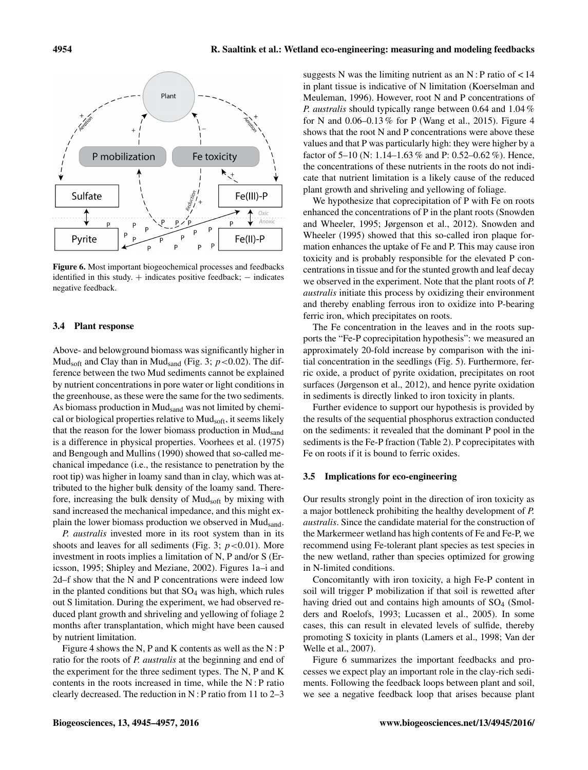

Figure 6. Most important biogeochemical processes and feedbacks identified in this study.  $+$  indicates positive feedback;  $-$  indicates negative feedback.

#### 3.4 Plant response

Above- and belowground biomass was significantly higher in Mud<sub>soft</sub> and Clay than in Mud<sub>sand</sub> (Fig. 3;  $p < 0.02$ ). The difference between the two Mud sediments cannot be explained by nutrient concentrations in pore water or light conditions in the greenhouse, as these were the same for the two sediments. As biomass production in Mud<sub>sand</sub> was not limited by chemical or biological properties relative to Mud<sub>soft</sub>, it seems likely that the reason for the lower biomass production in Mudsand is a difference in physical properties. Voorhees et al. (1975) and Bengough and Mullins (1990) showed that so-called mechanical impedance (i.e., the resistance to penetration by the root tip) was higher in loamy sand than in clay, which was attributed to the higher bulk density of the loamy sand. Therefore, increasing the bulk density of Mudsoft by mixing with sand increased the mechanical impedance, and this might explain the lower biomass production we observed in Mud<sub>sand</sub>.

*P. australis* invested more in its root system than in its shoots and leaves for all sediments (Fig. 3;  $p < 0.01$ ). More investment in roots implies a limitation of N, P and/or S (Ericsson, 1995; Shipley and Meziane, 2002). Figures 1a–i and 2d–f show that the N and P concentrations were indeed low in the planted conditions but that  $SO_4$  was high, which rules out S limitation. During the experiment, we had observed reduced plant growth and shriveling and yellowing of foliage 2 months after transplantation, which might have been caused by nutrient limitation.

Figure 4 shows the N, P and K contents as well as the N : P ratio for the roots of *P. australis* at the beginning and end of the experiment for the three sediment types. The N, P and K contents in the roots increased in time, while the N : P ratio clearly decreased. The reduction in N : P ratio from 11 to  $2-3$  suggests N was the limiting nutrient as an N : P ratio of  $< 14$ in plant tissue is indicative of N limitation (Koerselman and Meuleman, 1996). However, root N and P concentrations of *P. australis* should typically range between 0.64 and 1.04 % for N and 0.06–0.13 % for P (Wang et al., 2015). Figure 4 shows that the root N and P concentrations were above these values and that P was particularly high: they were higher by a factor of 5–10 (N: 1.14–1.63 % and P: 0.52–0.62 %). Hence, the concentrations of these nutrients in the roots do not indicate that nutrient limitation is a likely cause of the reduced plant growth and shriveling and yellowing of foliage.

We hypothesize that coprecipitation of P with Fe on roots enhanced the concentrations of P in the plant roots (Snowden and Wheeler, 1995; Jørgenson et al., 2012). Snowden and Wheeler (1995) showed that this so-called iron plaque formation enhances the uptake of Fe and P. This may cause iron toxicity and is probably responsible for the elevated P concentrations in tissue and for the stunted growth and leaf decay we observed in the experiment. Note that the plant roots of *P. australis* initiate this process by oxidizing their environment and thereby enabling ferrous iron to oxidize into P-bearing ferric iron, which precipitates on roots.

The Fe concentration in the leaves and in the roots supports the "Fe-P coprecipitation hypothesis": we measured an approximately 20-fold increase by comparison with the initial concentration in the seedlings (Fig. 5). Furthermore, ferric oxide, a product of pyrite oxidation, precipitates on root surfaces (Jørgenson et al., 2012), and hence pyrite oxidation in sediments is directly linked to iron toxicity in plants.

Further evidence to support our hypothesis is provided by the results of the sequential phosphorus extraction conducted on the sediments: it revealed that the dominant P pool in the sediments is the Fe-P fraction (Table 2). P coprecipitates with Fe on roots if it is bound to ferric oxides.

#### 3.5 Implications for eco-engineering

Our results strongly point in the direction of iron toxicity as a major bottleneck prohibiting the healthy development of *P. australis*. Since the candidate material for the construction of the Markermeer wetland has high contents of Fe and Fe-P, we recommend using Fe-tolerant plant species as test species in the new wetland, rather than species optimized for growing in N-limited conditions.

Concomitantly with iron toxicity, a high Fe-P content in soil will trigger P mobilization if that soil is rewetted after having dried out and contains high amounts of SO<sub>4</sub> (Smolders and Roelofs, 1993; Lucassen et al., 2005). In some cases, this can result in elevated levels of sulfide, thereby promoting S toxicity in plants (Lamers et al., 1998; Van der Welle et al., 2007).

Figure 6 summarizes the important feedbacks and processes we expect play an important role in the clay-rich sediments. Following the feedback loops between plant and soil, we see a negative feedback loop that arises because plant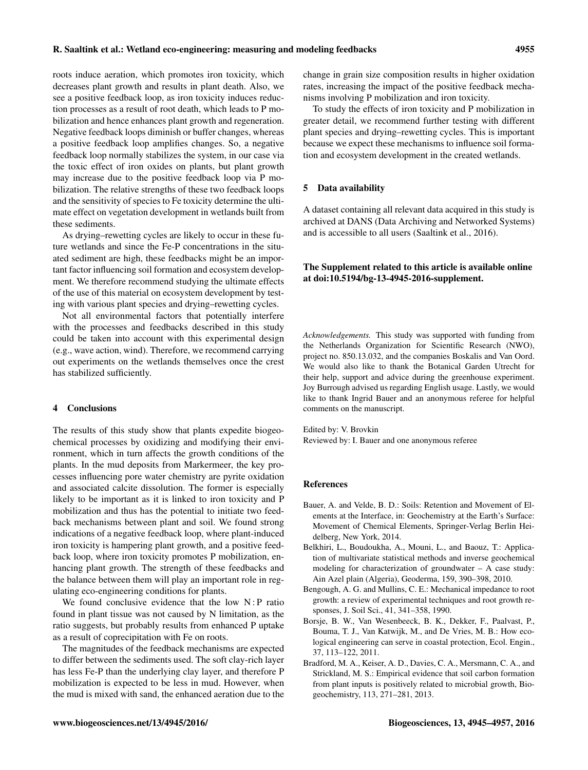roots induce aeration, which promotes iron toxicity, which decreases plant growth and results in plant death. Also, we see a positive feedback loop, as iron toxicity induces reduction processes as a result of root death, which leads to P mobilization and hence enhances plant growth and regeneration. Negative feedback loops diminish or buffer changes, whereas a positive feedback loop amplifies changes. So, a negative feedback loop normally stabilizes the system, in our case via the toxic effect of iron oxides on plants, but plant growth may increase due to the positive feedback loop via P mobilization. The relative strengths of these two feedback loops and the sensitivity of species to Fe toxicity determine the ultimate effect on vegetation development in wetlands built from these sediments.

As drying–rewetting cycles are likely to occur in these future wetlands and since the Fe-P concentrations in the situated sediment are high, these feedbacks might be an important factor influencing soil formation and ecosystem development. We therefore recommend studying the ultimate effects of the use of this material on ecosystem development by testing with various plant species and drying–rewetting cycles.

Not all environmental factors that potentially interfere with the processes and feedbacks described in this study could be taken into account with this experimental design (e.g., wave action, wind). Therefore, we recommend carrying out experiments on the wetlands themselves once the crest has stabilized sufficiently.

### 4 Conclusions

The results of this study show that plants expedite biogeochemical processes by oxidizing and modifying their environment, which in turn affects the growth conditions of the plants. In the mud deposits from Markermeer, the key processes influencing pore water chemistry are pyrite oxidation and associated calcite dissolution. The former is especially likely to be important as it is linked to iron toxicity and P mobilization and thus has the potential to initiate two feedback mechanisms between plant and soil. We found strong indications of a negative feedback loop, where plant-induced iron toxicity is hampering plant growth, and a positive feedback loop, where iron toxicity promotes P mobilization, enhancing plant growth. The strength of these feedbacks and the balance between them will play an important role in regulating eco-engineering conditions for plants.

We found conclusive evidence that the low  $N$ : P ratio found in plant tissue was not caused by N limitation, as the ratio suggests, but probably results from enhanced P uptake as a result of coprecipitation with Fe on roots.

The magnitudes of the feedback mechanisms are expected to differ between the sediments used. The soft clay-rich layer has less Fe-P than the underlying clay layer, and therefore P mobilization is expected to be less in mud. However, when the mud is mixed with sand, the enhanced aeration due to the

change in grain size composition results in higher oxidation rates, increasing the impact of the positive feedback mechanisms involving P mobilization and iron toxicity.

To study the effects of iron toxicity and P mobilization in greater detail, we recommend further testing with different plant species and drying–rewetting cycles. This is important because we expect these mechanisms to influence soil formation and ecosystem development in the created wetlands.

#### 5 Data availability

A dataset containing all relevant data acquired in this study is archived at DANS (Data Archiving and Networked Systems) and is accessible to all users (Saaltink et al., 2016).

## The Supplement related to this article is available online at [doi:10.5194/bg-13-4945-2016-supplement.](http://dx.doi.org/10.5194/bg-13-4945-2016-supplement)

*Acknowledgements.* This study was supported with funding from the Netherlands Organization for Scientific Research (NWO), project no. 850.13.032, and the companies Boskalis and Van Oord. We would also like to thank the Botanical Garden Utrecht for their help, support and advice during the greenhouse experiment. Joy Burrough advised us regarding English usage. Lastly, we would like to thank Ingrid Bauer and an anonymous referee for helpful comments on the manuscript.

Edited by: V. Brovkin Reviewed by: I. Bauer and one anonymous referee

#### References

- Bauer, A. and Velde, B. D.: Soils: Retention and Movement of Elements at the Interface, in: Geochemistry at the Earth's Surface: Movement of Chemical Elements, Springer-Verlag Berlin Heidelberg, New York, 2014.
- Belkhiri, L., Boudoukha, A., Mouni, L., and Baouz, T.: Application of multivariate statistical methods and inverse geochemical modeling for characterization of groundwater – A case study: Ain Azel plain (Algeria), Geoderma, 159, 390–398, 2010.
- Bengough, A. G. and Mullins, C. E.: Mechanical impedance to root growth: a review of experimental techniques and root growth responses, J. Soil Sci., 41, 341–358, 1990.
- Borsje, B. W., Van Wesenbeeck, B. K., Dekker, F., Paalvast, P., Bouma, T. J., Van Katwijk, M., and De Vries, M. B.: How ecological engineering can serve in coastal protection, Ecol. Engin., 37, 113–122, 2011.
- Bradford, M. A., Keiser, A. D., Davies, C. A., Mersmann, C. A., and Strickland, M. S.: Empirical evidence that soil carbon formation from plant inputs is positively related to microbial growth, Biogeochemistry, 113, 271–281, 2013.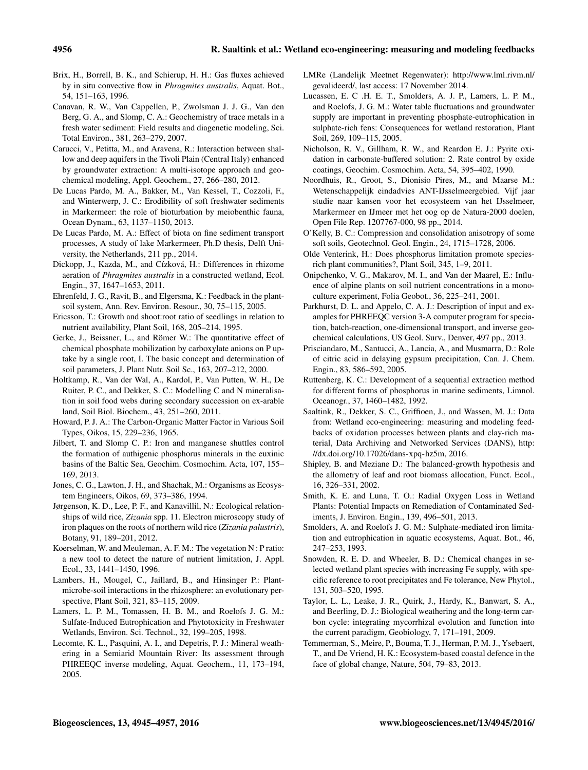- Brix, H., Borrell, B. K., and Schierup, H. H.: Gas fluxes achieved by in situ convective flow in *Phragmites australis*, Aquat. Bot., 54, 151–163, 1996.
- Canavan, R. W., Van Cappellen, P., Zwolsman J. J. G., Van den Berg, G. A., and Slomp, C. A.: Geochemistry of trace metals in a fresh water sediment: Field results and diagenetic modeling, Sci. Total Environ., 381, 263–279, 2007.
- Carucci, V., Petitta, M., and Aravena, R.: Interaction between shallow and deep aquifers in the Tivoli Plain (Central Italy) enhanced by groundwater extraction: A multi-isotope approach and geochemical modeling, Appl. Geochem., 27, 266–280, 2012.
- De Lucas Pardo, M. A., Bakker, M., Van Kessel, T., Cozzoli, F., and Winterwerp, J. C.: Erodibility of soft freshwater sediments in Markermeer: the role of bioturbation by meiobenthic fauna, Ocean Dynam., 63, 1137–1150, 2013.
- De Lucas Pardo, M. A.: Effect of biota on fine sediment transport processes, A study of lake Markermeer, Ph.D thesis, Delft University, the Netherlands, 211 pp., 2014.
- Dickopp, J., Kazda, M., and Cízková, H.: Differences in rhizome aeration of *Phragmites australis* in a constructed wetland, Ecol. Engin., 37, 1647–1653, 2011.
- Ehrenfeld, J. G., Ravit, B., and Elgersma, K.: Feedback in the plantsoil system, Ann. Rev. Environ. Resour., 30, 75–115, 2005.
- Ericsson, T.: Growth and shoot:root ratio of seedlings in relation to nutrient availability, Plant Soil, 168, 205–214, 1995.
- Gerke, J., Beissner, L., and Römer W.: The quantitative effect of chemical phosphate mobilization by carboxylate anions on P uptake by a single root, I. The basic concept and determination of soil parameters, J. Plant Nutr. Soil Sc., 163, 207–212, 2000.
- Holtkamp, R., Van der Wal, A., Kardol, P., Van Putten, W. H., De Ruiter, P. C., and Dekker, S. C.: Modelling C and N mineralisation in soil food webs during secondary succession on ex-arable land, Soil Biol. Biochem., 43, 251–260, 2011.
- Howard, P. J. A.: The Carbon-Organic Matter Factor in Various Soil Types, Oikos, 15, 229–236, 1965.
- Jilbert, T. and Slomp C. P.: Iron and manganese shuttles control the formation of authigenic phosphorus minerals in the euxinic basins of the Baltic Sea, Geochim. Cosmochim. Acta, 107, 155– 169, 2013.
- Jones, C. G., Lawton, J. H., and Shachak, M.: Organisms as Ecosystem Engineers, Oikos, 69, 373–386, 1994.
- Jørgenson, K. D., Lee, P. F., and Kanavillil, N.: Ecological relationships of wild rice, *Zizania* spp. 11. Electron microscopy study of iron plaques on the roots of northern wild rice (*Zizania palustris*), Botany, 91, 189–201, 2012.
- Koerselman, W. and Meuleman, A. F. M.: The vegetation N : P ratio: a new tool to detect the nature of nutrient limitation, J. Appl. Ecol., 33, 1441–1450, 1996.
- Lambers, H., Mougel, C., Jaillard, B., and Hinsinger P.: Plantmicrobe-soil interactions in the rhizosphere: an evolutionary perspective, Plant Soil, 321, 83–115, 2009.
- Lamers, L. P. M., Tomassen, H. B. M., and Roelofs J. G. M.: Sulfate-Induced Eutrophication and Phytotoxicity in Freshwater Wetlands, Environ. Sci. Technol., 32, 199–205, 1998.
- Lecomte, K. L., Pasquini, A. I., and Depetris, P. J.: Mineral weathering in a Semiarid Mountain River: Its assessment through PHREEQC inverse modeling, Aquat. Geochem., 11, 173–194, 2005.
- LMRe (Landelijk Meetnet Regenwater): [http://www.lml.rivm.nl/](http://www.lml.rivm.nl/gevalideerd/) [gevalideerd/,](http://www.lml.rivm.nl/gevalideerd/) last access: 17 November 2014.
- Lucassen, E. C .H. E. T., Smolders, A. J. P., Lamers, L. P. M., and Roelofs, J. G. M.: Water table fluctuations and groundwater supply are important in preventing phosphate-eutrophication in sulphate-rich fens: Consequences for wetland restoration, Plant Soil, 269, 109–115, 2005.
- Nicholson, R. V., Gillham, R. W., and Reardon E. J.: Pyrite oxidation in carbonate-buffered solution: 2. Rate control by oxide coatings, Geochim. Cosmochim. Acta, 54, 395–402, 1990.
- Noordhuis, R., Groot, S., Dionisio Pires, M., and Maarse M.: Wetenschappelijk eindadvies ANT-IJsselmeergebied. Vijf jaar studie naar kansen voor het ecosysteem van het IJsselmeer, Markermeer en IJmeer met het oog op de Natura-2000 doelen, Open File Rep. 1207767-000, 98 pp., 2014.
- O'Kelly, B. C.: Compression and consolidation anisotropy of some soft soils, Geotechnol. Geol. Engin., 24, 1715–1728, 2006.
- Olde Venterink, H.: Does phosphorus limitation promote speciesrich plant communities?, Plant Soil, 345, 1–9, 2011.
- Onipchenko, V. G., Makarov, M. I., and Van der Maarel, E.: Influence of alpine plants on soil nutrient concentrations in a monoculture experiment, Folia Geobot., 36, 225–241, 2001.
- Parkhurst, D. L. and Appelo, C. A. J.: Description of input and examples for PHREEQC version 3-A computer program for speciation, batch-reaction, one-dimensional transport, and inverse geochemical calculations, US Geol. Surv., Denver, 497 pp., 2013.
- Prisciandaro, M., Santucci, A., Lancia, A., and Musmarra, D.: Role of citric acid in delaying gypsum precipitation, Can. J. Chem. Engin., 83, 586–592, 2005.
- Ruttenberg, K. C.: Development of a sequential extraction method for different forms of phosphorus in marine sediments, Limnol. Oceanogr., 37, 1460–1482, 1992.
- Saaltink, R., Dekker, S. C., Griffioen, J., and Wassen, M. J.: Data from: Wetland eco-engineering: measuring and modeling feedbacks of oxidation processes between plants and clay-rich material, Data Archiving and Networked Services (DANS), [http:](http://dx.doi.org/10.17026/dans-xpq-hz5m) [//dx.doi.org/10.17026/dans-xpq-hz5m,](http://dx.doi.org/10.17026/dans-xpq-hz5m) 2016.
- Shipley, B. and Meziane D.: The balanced-growth hypothesis and the allometry of leaf and root biomass allocation, Funct. Ecol., 16, 326–331, 2002.
- Smith, K. E. and Luna, T. O.: Radial Oxygen Loss in Wetland Plants: Potential Impacts on Remediation of Contaminated Sediments, J. Environ. Engin., 139, 496–501, 2013.
- Smolders, A. and Roelofs J. G. M.: Sulphate-mediated iron limitation and eutrophication in aquatic ecosystems, Aquat. Bot., 46, 247–253, 1993.
- Snowden, R. E. D. and Wheeler, B. D.: Chemical changes in selected wetland plant species with increasing Fe supply, with specific reference to root precipitates and Fe tolerance, New Phytol., 131, 503–520, 1995.
- Taylor, L. L., Leake, J. R., Quirk, J., Hardy, K., Banwart, S. A., and Beerling, D. J.: Biological weathering and the long-term carbon cycle: integrating mycorrhizal evolution and function into the current paradigm, Geobiology, 7, 171–191, 2009.
- Temmerman, S., Meire, P., Bouma, T. J., Herman, P. M. J., Ysebaert, T., and De Vriend, H. K.: Ecosystem-based coastal defence in the face of global change, Nature, 504, 79–83, 2013.